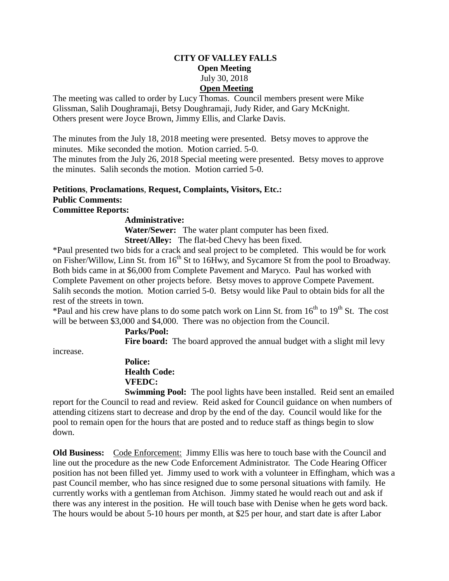## **CITY OF VALLEY FALLS Open Meeting** July 30, 2018 **Open Meeting**

The meeting was called to order by Lucy Thomas. Council members present were Mike Glissman, Salih Doughramaji, Betsy Doughramaji, Judy Rider, and Gary McKnight. Others present were Joyce Brown, Jimmy Ellis, and Clarke Davis.

The minutes from the July 18, 2018 meeting were presented. Betsy moves to approve the minutes. Mike seconded the motion. Motion carried. 5-0.

The minutes from the July 26, 2018 Special meeting were presented. Betsy moves to approve the minutes. Salih seconds the motion. Motion carried 5-0.

#### **Petitions**, **Proclamations**, **Request, Complaints, Visitors, Etc.: Public Comments:**

**Committee Reports:** 

# **Administrative:**

 **Water/Sewer:** The water plant computer has been fixed. **Street/Alley:** The flat-bed Chevy has been fixed.

\*Paul presented two bids for a crack and seal project to be completed. This would be for work on Fisher/Willow, Linn St. from 16<sup>th</sup> St to 16Hwy, and Sycamore St from the pool to Broadway. Both bids came in at \$6,000 from Complete Pavement and Maryco. Paul has worked with Complete Pavement on other projects before. Betsy moves to approve Compete Pavement. Salih seconds the motion. Motion carried 5-0. Betsy would like Paul to obtain bids for all the rest of the streets in town.

\*Paul and his crew have plans to do some patch work on Linn St. from  $16<sup>th</sup>$  to  $19<sup>th</sup>$  St. The cost will be between \$3,000 and \$4,000. There was no objection from the Council.

 **Parks/Pool:** Fire board: The board approved the annual budget with a slight mil levy

increase.

# **Police: Health Code: VFEDC:**

**Swimming Pool:** The pool lights have been installed. Reid sent an emailed report for the Council to read and review. Reid asked for Council guidance on when numbers of attending citizens start to decrease and drop by the end of the day. Council would like for the pool to remain open for the hours that are posted and to reduce staff as things begin to slow down.

**Old Business:** Code Enforcement: Jimmy Ellis was here to touch base with the Council and line out the procedure as the new Code Enforcement Administrator. The Code Hearing Officer position has not been filled yet. Jimmy used to work with a volunteer in Effingham, which was a past Council member, who has since resigned due to some personal situations with family. He currently works with a gentleman from Atchison. Jimmy stated he would reach out and ask if there was any interest in the position. He will touch base with Denise when he gets word back. The hours would be about 5-10 hours per month, at \$25 per hour, and start date is after Labor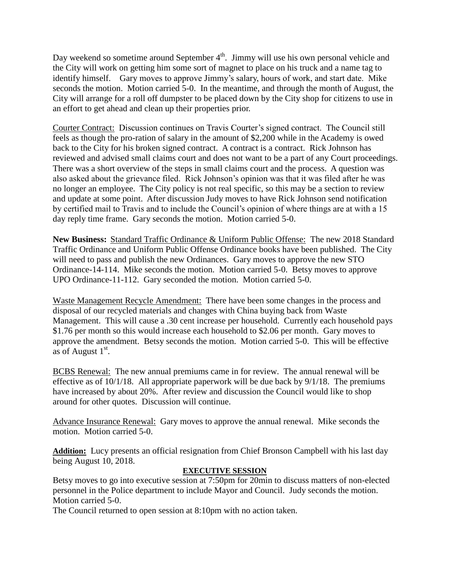Day weekend so sometime around September  $4<sup>th</sup>$ . Jimmy will use his own personal vehicle and the City will work on getting him some sort of magnet to place on his truck and a name tag to identify himself. Gary moves to approve Jimmy's salary, hours of work, and start date. Mike seconds the motion. Motion carried 5-0. In the meantime, and through the month of August, the City will arrange for a roll off dumpster to be placed down by the City shop for citizens to use in an effort to get ahead and clean up their properties prior.

Courter Contract: Discussion continues on Travis Courter's signed contract. The Council still feels as though the pro-ration of salary in the amount of \$2,200 while in the Academy is owed back to the City for his broken signed contract. A contract is a contract. Rick Johnson has reviewed and advised small claims court and does not want to be a part of any Court proceedings. There was a short overview of the steps in small claims court and the process. A question was also asked about the grievance filed. Rick Johnson's opinion was that it was filed after he was no longer an employee. The City policy is not real specific, so this may be a section to review and update at some point. After discussion Judy moves to have Rick Johnson send notification by certified mail to Travis and to include the Council's opinion of where things are at with a 15 day reply time frame. Gary seconds the motion. Motion carried 5-0.

**New Business:** Standard Traffic Ordinance & Uniform Public Offense: The new 2018 Standard Traffic Ordinance and Uniform Public Offense Ordinance books have been published. The City will need to pass and publish the new Ordinances. Gary moves to approve the new STO Ordinance-14-114. Mike seconds the motion. Motion carried 5-0. Betsy moves to approve UPO Ordinance-11-112. Gary seconded the motion. Motion carried 5-0.

Waste Management Recycle Amendment: There have been some changes in the process and disposal of our recycled materials and changes with China buying back from Waste Management. This will cause a .30 cent increase per household. Currently each household pays \$1.76 per month so this would increase each household to \$2.06 per month. Gary moves to approve the amendment. Betsy seconds the motion. Motion carried 5-0. This will be effective as of August  $1<sup>st</sup>$ .

BCBS Renewal: The new annual premiums came in for review. The annual renewal will be effective as of 10/1/18. All appropriate paperwork will be due back by 9/1/18. The premiums have increased by about 20%. After review and discussion the Council would like to shop around for other quotes. Discussion will continue.

Advance Insurance Renewal: Gary moves to approve the annual renewal. Mike seconds the motion. Motion carried 5-0.

**Addition:** Lucy presents an official resignation from Chief Bronson Campbell with his last day being August 10, 2018.

#### **EXECUTIVE SESSION**

Betsy moves to go into executive session at 7:50pm for 20min to discuss matters of non-elected personnel in the Police department to include Mayor and Council. Judy seconds the motion. Motion carried 5-0.

The Council returned to open session at 8:10pm with no action taken.